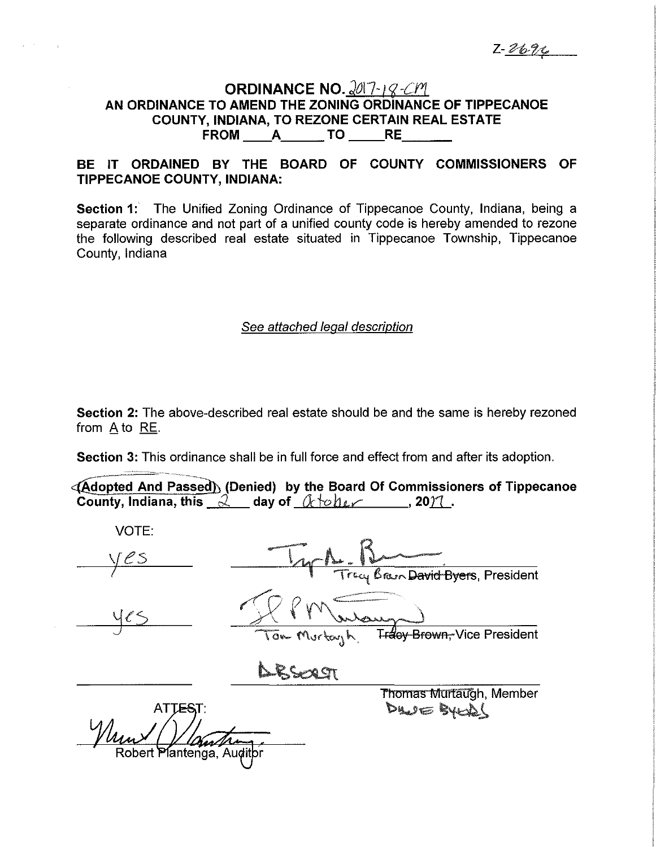# **ORDINANCE NO. 2017-18-CM AN ORDINANCE TO AMEND THE ZONING ORDINANCE OF TIPPECANOE COUNTY, INDIANA, TO REZONE CERTAIN REAL ESTATE<br>FROM \_\_\_\_A\_\_\_\_\_\_\_TO \_\_\_\_\_\_RE\_\_\_\_\_\_\_\_**

## **BE IT ORDAINED BY THE BOARD OF COUNTY COMMISSIONERS OF TIPPECANOE COUNTY, INDIANA:**

**Section 1:** The Unified Zoning Ordinance of Tippecanoe County, Indiana, being a separate ordinance and not part of a unified county code is hereby amended to rezone the following described real estate situated in Tippecanoe Township, Tippecanoe County, Indiana

#### See attached legal description

**Section 2:** The above-described real estate should be and the same is hereby rezoned from A to RE.

**Section 3:** This ordinance shall be in full force and effect from and after its adoption.

**44** Adopted And Passed) (Denied) by the Board Of Commissioners of Tippecanoe **County, Indiana, this**  $\alpha$  day of  $\alpha$  *de let* , 2012.

| <b>VOTE:</b>              |                                                         |  |
|---------------------------|---------------------------------------------------------|--|
| CS                        | Tracy Braun David Byers, President                      |  |
|                           | Tom Murtayh<br>T <del>racy Brown, </del> Vice President |  |
|                           |                                                         |  |
| <b>ATTEST:</b>            | <b>Thomas Murtaugh, Member</b><br>Des Bytes             |  |
| Um                        |                                                         |  |
| Robert Plantenga, Auditpr |                                                         |  |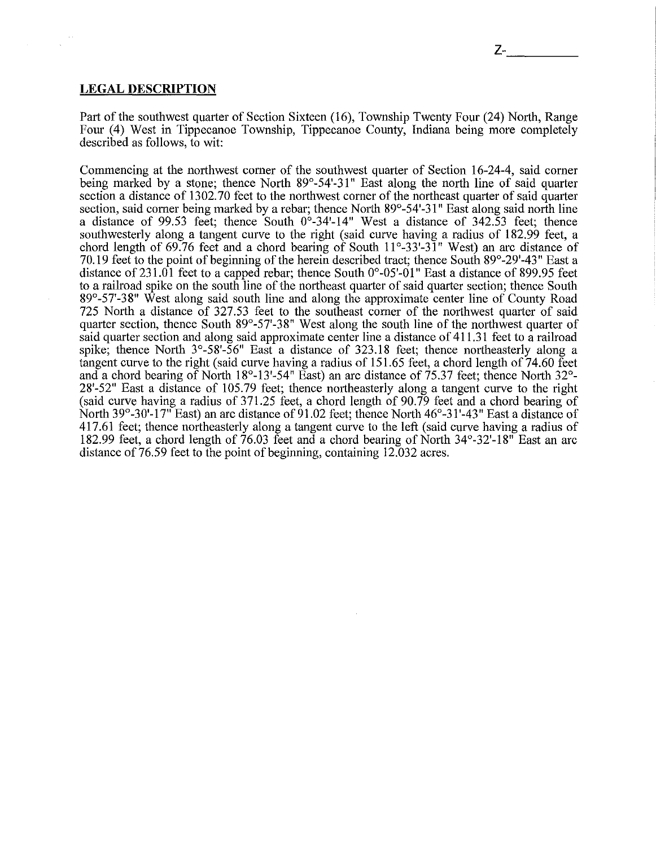#### **LEGAL DESCRIPTION**

Part of the southwest quarter of Section Sixteen (16), Township Twenty Four (24) North, Range Four (4) West in Tippecanoe Township, Tippecanoe County, Indiana being more completely described as follows, to wit:

Commencing at the northwest comer of the southwest quarter of Section 16-24-4, said corner being marked by a stone; thence North  $89^{\circ}$ -54'-31" East along the north line of said quarter section a distance of 1302.70 feet to the northwest corner of the northeast quarter of said quarter section, said corner being marked by a rebar; thence North 89°-54'-31" East along said north line a distance of 99.53 feet; thence South  $0^\circ$ -34'-14" West a distance of 342.53 feet; thence southwesterly along a tangent curve to the right (said curve having a radius of 182.99 feet, a chord length of 69.76 feet and a chord bearing of South 11°-33'-3 l" West) an arc distance of 70.19 feet to the point of beginning of the herein described tract; thence South 89°-29'-43" East a distance of 231.01 feet to a capped rebar; thence South  $0^{\circ}$ -05'-01" East a distance of 899.95 feet to a railroad spike on the south line of the northeast quarter of said quarter section; thence South 89°-57'-38" West along said south line and along the approximate center line of County Road 725 North a distance of 327.53 feet to the southeast corner of the northwest quarter of said quarter section, thence South  $89^{\circ}$ -57'-38" West along the south line of the northwest quarter of said quarter section and along said approximate center line a distance of 411.31 feet to a railroad spike; thence North  $3^{\circ}$ -58'-56" East a distance of 323.18 feet; thence northeasterly along a tangent curve to the right (said curve having a radius of  $151.65$  feet, a chord length of  $74.60$  feet and a chord bearing of North  $18^{\circ}$ -13'-54" East) an arc distance of 75.37 feet; thence North 32°-28'-52" East a distance of 105.79 feet; thence northeasterly along a tangent curve to the right (said curve having a radius of 371.25 feet, a chord length of 90.79 feet and a chord bearing of North 39°-30'-17" East) an arc distance of 91.02 feet; thence North  $46^{\circ}$ -31'-43" East a distance of 417.61 feet; thence northeasterly along a tangent curve to the left (said curve having a radius of 182.99 feet, a chord length of 76.03 feet and a chord bearing of North 34°-32'-18" East an arc distance of 76.59 feet to the point of beginning, containing 12.032 acres.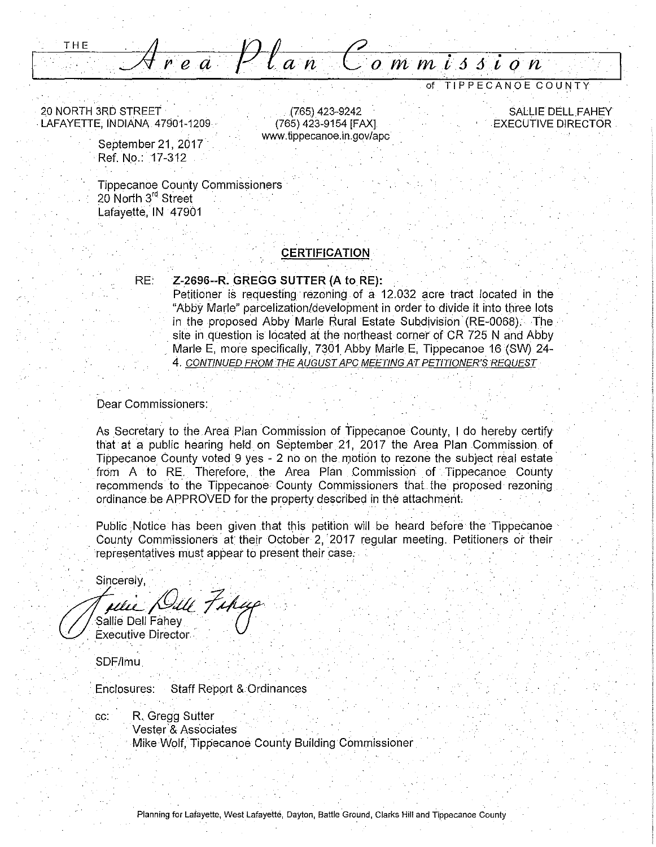THE

I

20 NORTH 3RD STREET · . LAFAYETTE, INDIANA 47901-1209 ·

> September 21, 2017 Ref. No.: 17-312

Tippecanoe County Commissioners 20 North 3<sup>rd</sup> Street Lafayette, IN 47901

#### **CERTIFICATION**

' .(765) 423-9242 (765) 423-9154 [FAX] www.tippecanoe.in.gov/apc

*Corn m l6 6* **i** *o n* 

#### RE: . **Z-2696--R. GREGG SUTTER (A to RE):**

Petitioner is requesting rezoning of a 12.032 acre tract located in the "Abby Marie" parcelization/development in order to divide it into three lots in the proposed Abby Marie Rural Estate Subdivision (RE-0068). The site in question is located at the northeast corner of CR 725 N and Abby Marle E, more specifically, 7301 Abby Marle E, Tippecanoe 16 (SW) 24-4. CONTINUED FROM THE AUGUST APC MEETING AT PETITIONER'S REQUEST

#### Dear Commissioners:

As Secretary to the Area Plan Commission of Tippecanoe County, I do hereby certify that at a public hearing held on September 21, 2017 the Area Plan Commission. of Tippecanoe County voted 9 yes - 2 no on the motion to rezone the subject real estate from A to RE. Therefore, the Area Plan Commission of Tippecanoe County recommends to the Tippecanoe County Commissioners that the proposed rezoning ordinance be APPROVED for the property described in the attachment.

Public Notice has been given that this petition will be heard before the Tippecanoe County Commissioners at their October 2, 2017 regular meeting. Petitioners or their representatives must appear to present their case.

Sincerely,

*µe;\_\_;<Odt\_* jj.·~· ie Dell Fahey · U · . ecutive Director ·

SDF/lmu

Enclosures: Staff Report & Ordinances

cc: R. Gregg Sutter Vester<sup>'</sup>& Associates Mike Wolf, Tippecanoe County Building Commissioner

SALLIE DELL FAHEY EXECUTIVE DIRECTOR.

of TIPPECANOE COUNTY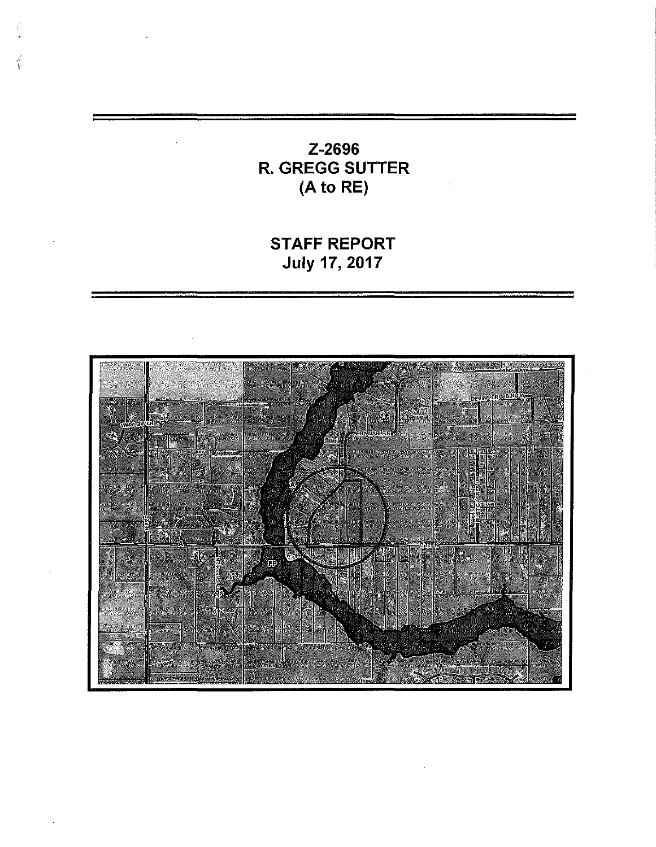# Z-2696 R. GREGG SUTTER (A to RE)

# STAFF REPORT July 17, 2017

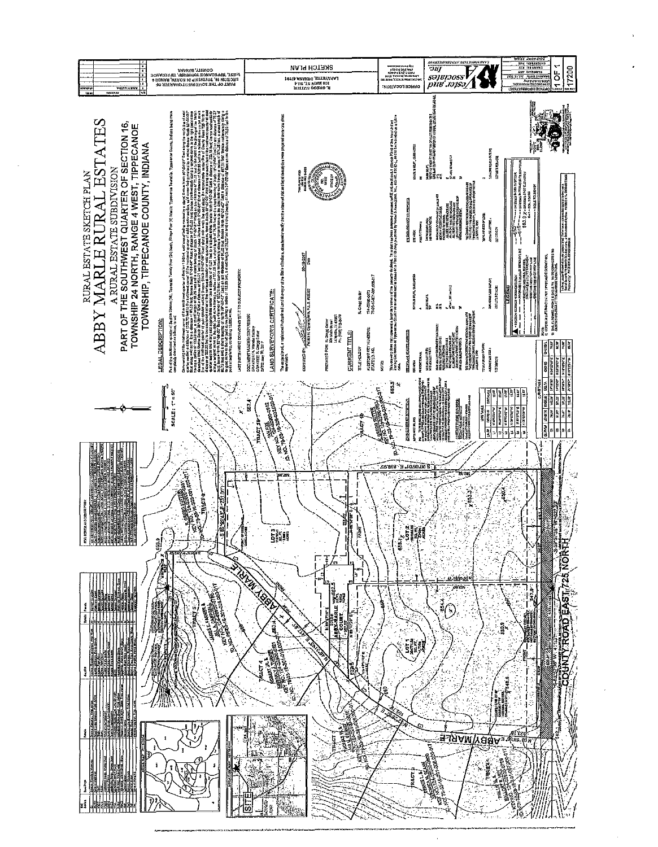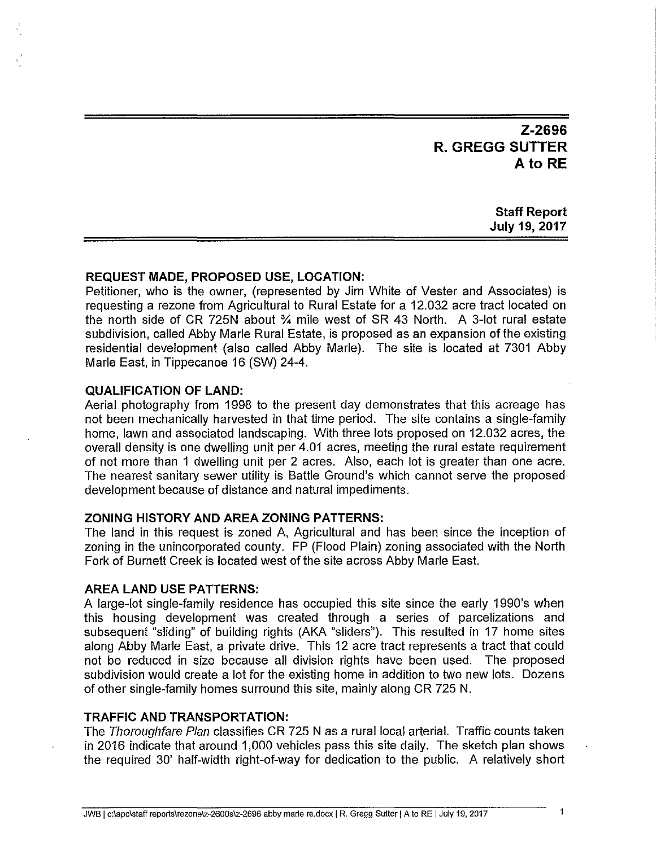## **Z-2696 R. GREGG SUTTER Ato RE**

**Staff Report July 19, 2017** 

#### **REQUEST MADE, PROPOSED USE, LOCATION:**

Petitioner, who is the owner, (represented by Jim White of Vester and Associates) is requesting a rezone from Agricultural to Rural Estate for a 12.032 acre tract located on the north side of CR 725N about % mile west of SR 43 North. A 3-lot rural estate subdivision, called Abby Marie Rural Estate, is proposed as an expansion of the existing residential development (also called Abby Marie). The site is located at 7301 Abby Marie East, in Tippecanoe 16 (SW) 24-4.

#### **QUALIFICATION OF LAND:**

Aerial photography from 1998 to the present day demonstrates that this acreage has not been mechanically harvested in that time period. The site contains a single-family home, lawn and associated landscaping. With three lots proposed on 12.032 acres, the overall density is one dwelling unit per 4.01 acres, meeting the rural estate requirement of not more than 1 dwelling unit per 2 acres. Also, each lot is greater than one acre. The nearest sanitary sewer utility is Battle Ground's which cannot serve the proposed development because of distance and natural impediments.

#### **ZONING HISTORY AND AREA ZONING PATTERNS:**

The land in this request is zoned A, Agricultural and has been since the inception of zoning in the unincorporated county. FP (Flood Plain) zoning associated with the North Fork of Burnett Creek is located west of the site across Abby Marie East.

#### **AREA LAND USE PATTERNS:**

A large-lot single-family residence has occupied this site since the early 1990's when this housing development was created through a series of parcelizations and subsequent "sliding" of building rights (AKA "sliders"). This resulted in 17 home sites along Abby Marie East, a private drive. This 12 acre tract represents a tract that could not be reduced in size because all division rights have been used. The proposed subdivision would create a lot for the existing home in addition to two new lots. Dozens of other single-family homes surround this site, mainly along CR 725 N.

#### **TRAFFIC AND TRANSPORTATION:**

The Thoroughfare Plan classifies CR 725 N as a rural local arterial. Traffic counts taken in 2016 indicate that around 1,000 vehicles pass this site daily. The sketch plan shows the required 30' half-width right-of-way for dedication to the public. A relatively short

1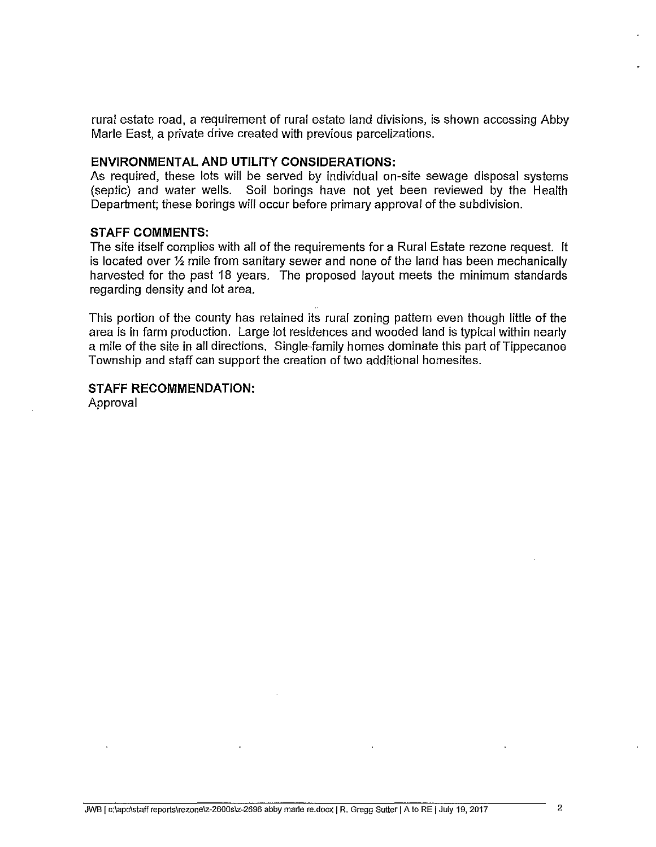rural estate road, a requirement of rural estate land divisions, is shown accessing Abby Marie East, a private drive created with previous parcelizations.

#### **ENVIRONMENTAL AND UTILITY CONSIDERATIONS:**

As required, these lots will be served by individual on-site sewage disposal systems (septic) and water wells. Soil borings have not yet been reviewed by the Health Department; these borings will occur before primary approval of the subdivision.

#### **STAFF COMMENTS:**

The site itself complies with all of the requirements for a Rural Estate rezone request. It is located over  $\frac{1}{2}$  mile from sanitary sewer and none of the land has been mechanically harvested for the past 18 years. The proposed layout meets the minimum standards regarding density and lot area.

This portion of the county has retained its rural zoning pattern even though little of the area is in farm production. Large lot residences and wooded land is typical within nearly a mile of the site in all directions. Single-family homes dominate this part of Tippecanoe Township and staff can support the creation of two additional homesites.

### **STAFF RECOMMENDATION:**

Approval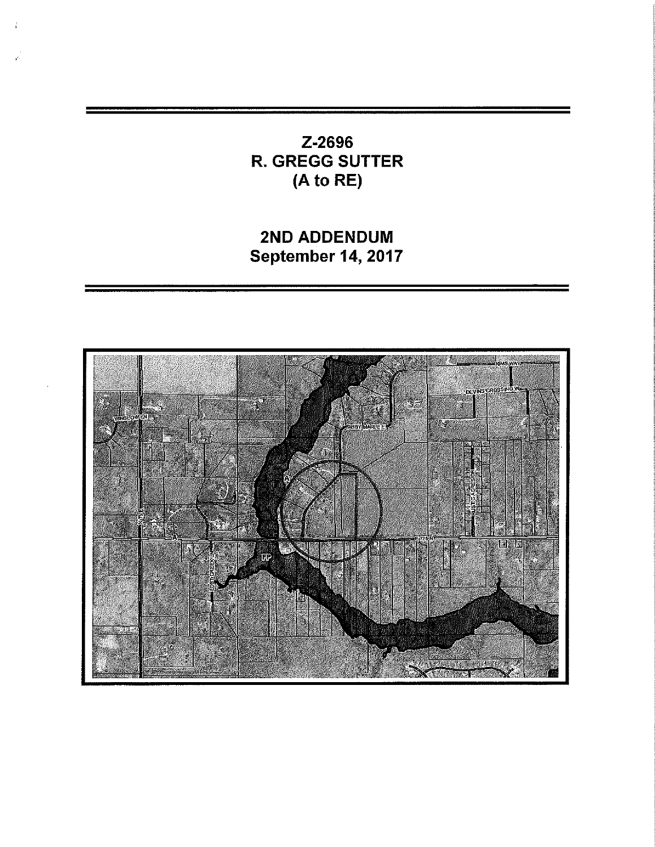## Z-2696 R. GREGG SUTTER (A to RE)

# 2ND ADDENDUM September 14, 2017

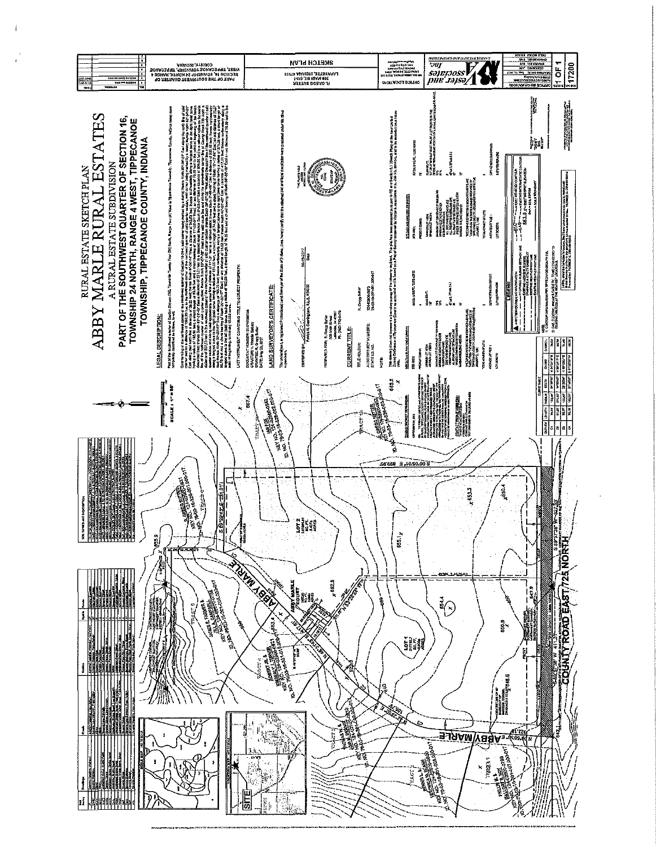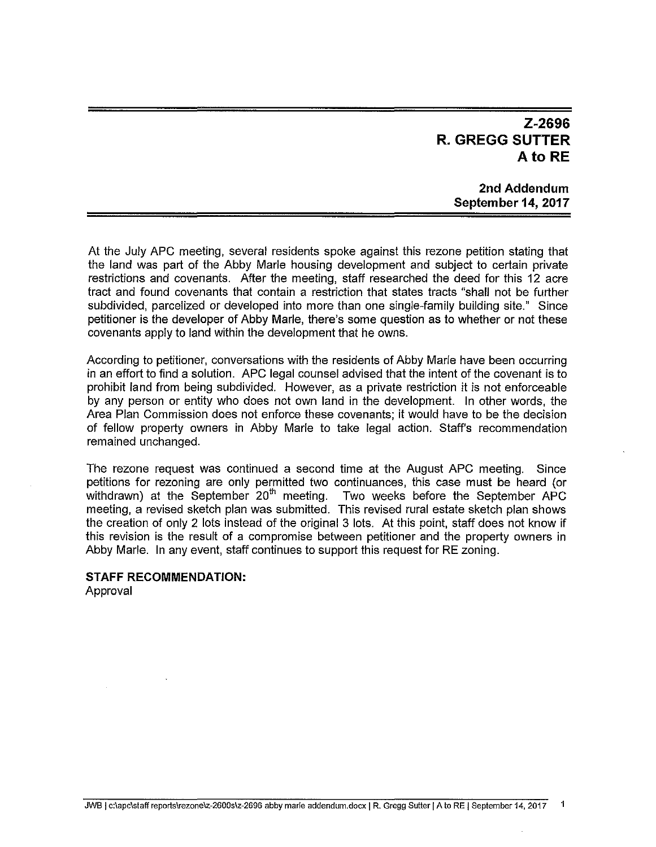## **Z-2696 R. GREGG SUTTER A to RE**

#### **2nd Addendum September 14, 2017**

At the July APC meeting, several residents spoke against this rezone petition stating that the land was part of the Abby Marie housing development and subject to certain private restrictions and covenants. After the meeting, staff researched the deed for this 12 acre tract and found covenants that contain a restriction that states tracts "shall not be further subdivided, parcelized or developed into more than one single-family building site." Since petitioner is the developer of Abby Marie, there's some question as to whether or not these covenants apply to land within the development that he owns.

According to petitioner, conversations with the residents of Abby Marie have been occurring in an effort to find a solution. APC legal counsel advised that the intent of the covenant is to prohibit land from being subdivided. However, as a private restriction it is not enforceable by any person or entity who does not own land in the development. In other words, the Area Plan Commission does not enforce these covenants; it would have to be the decision of fellow property owners in Abby Marie to take legal action. Staff's recommendation remained unchanged.

The rezone request was continued a second time at the August APC meeting. Since petitions for rezoning are only permitted two continuances, this case must be heard (or withdrawn) at the September 20<sup>th</sup> meeting. Two weeks before the September APC meeting, a revised sketch plan was submitted. This revised rural estate sketch plan shows the creation of only 2 lots instead of the original 3 lots. At this point, staff does not know if this revision is the result of a compromise between petitioner and the property owners in Abby Marie. In any event, staff continues to support this request for RE zoning.

#### **STAFF RECOMMENDATION:**

Approval